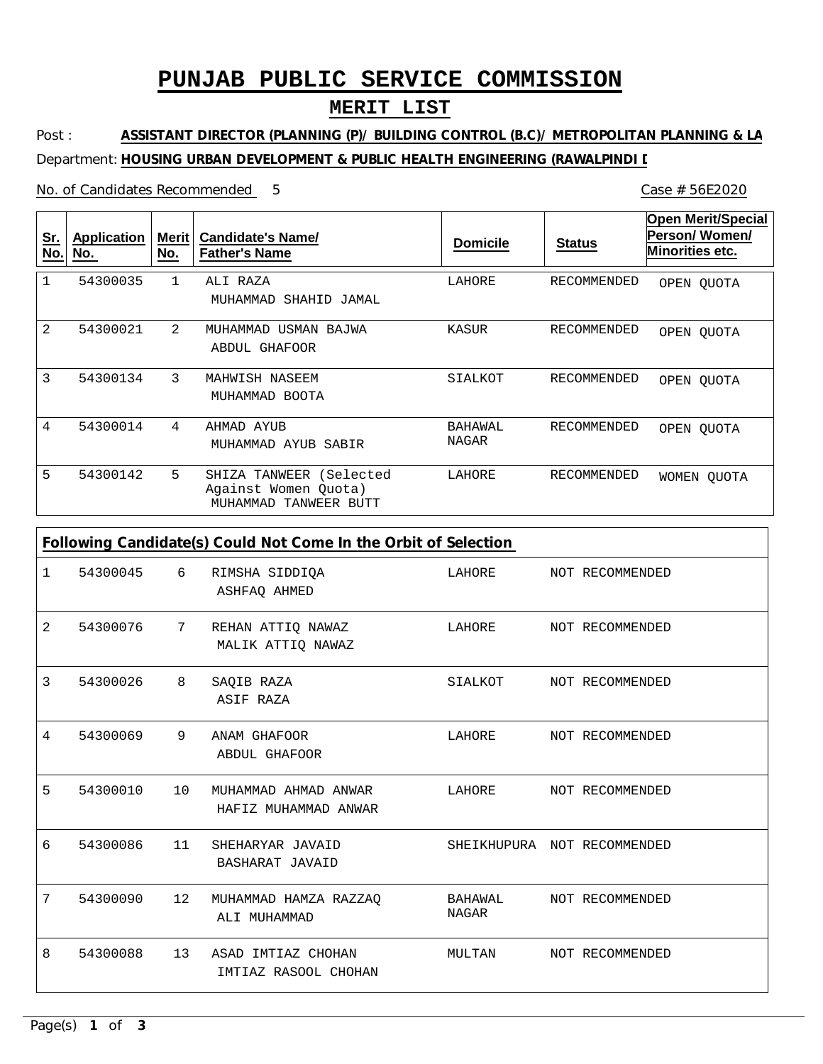# **PUNJAB PUBLIC SERVICE COMMISSION**

### **MERIT LIST**

Post : Department: **HOUSING URBAN DEVELOPMENT & PUBLIC HEALTH ENGINEERING (RAWALPINDI L ASSISTANT DIRECTOR (PLANNING (P)/ BUILDING CONTROL (B.C)/ METROPOLITAN PLANNING & LA**

No. of Candidates Recommended

1 2 3 4 5 ALI RAZA MUHAMMAD USMAN BAJWA MAHWISH NASEEM AHMAD AYUB SHIZA TANWEER (Selected Against Women Quota) MUHAMMAD SHAHID JAMAL ABDUL GHAFOOR MUHAMMAD BOOTA MUHAMMAD AYUB SABIR MUHAMMAD TANWEER BUTT 1 2 3 4 5 54300035 54300021 54300134 54300014 54300142 LAHORE KASUR SIALKOT BAHAWAL NAGAR LAHORE RECOMMENDED RECOMMENDED RECOMMENDED RECOMMENDED RECOMMENDED **Sr. No. Application No. Merit No. Candidate's Name/ Father's Name Domicile Status Open Merit/Special Person/ Women/ Minorities etc.** OPEN QUOTA OPEN QUOTA OPEN QUOTA OPEN QUOTA WOMEN QUOTA

| Following Candidate(s) Could Not Come In the Orbit of Selection |          |    |                                              |                  |  |                             |  |  |  |
|-----------------------------------------------------------------|----------|----|----------------------------------------------|------------------|--|-----------------------------|--|--|--|
| 1                                                               | 54300045 | 6  | RIMSHA SIDDIQA<br>ASHFAQ AHMED               | LAHORE           |  | NOT RECOMMENDED             |  |  |  |
| 2                                                               | 54300076 | 7  | REHAN ATTIQ NAWAZ<br>MALIK ATTIQ NAWAZ       | LAHORE           |  | NOT RECOMMENDED             |  |  |  |
| 3                                                               | 54300026 | 8  | SAQIB RAZA<br>ASIF RAZA                      | SIALKOT          |  | NOT RECOMMENDED             |  |  |  |
| 4                                                               | 54300069 | 9  | ANAM GHAFOOR<br>ABDUL GHAFOOR                | LAHORE           |  | NOT RECOMMENDED             |  |  |  |
| 5                                                               | 54300010 | 10 | MUHAMMAD AHMAD ANWAR<br>HAFIZ MUHAMMAD ANWAR | LAHORE           |  | NOT RECOMMENDED             |  |  |  |
| 6                                                               | 54300086 | 11 | SHEHARYAR JAVAID<br><b>BASHARAT JAVAID</b>   |                  |  | SHEIKHUPURA NOT RECOMMENDED |  |  |  |
| 7                                                               | 54300090 | 12 | MUHAMMAD HAMZA RAZZAO<br>ALI MUHAMMAD        | BAHAWAL<br>NAGAR |  | NOT RECOMMENDED             |  |  |  |
| 8                                                               | 54300088 | 13 | ASAD IMTIAZ CHOHAN<br>IMTIAZ RASOOL CHOHAN   | MULTAN           |  | NOT RECOMMENDED             |  |  |  |

5 Case # 56E2020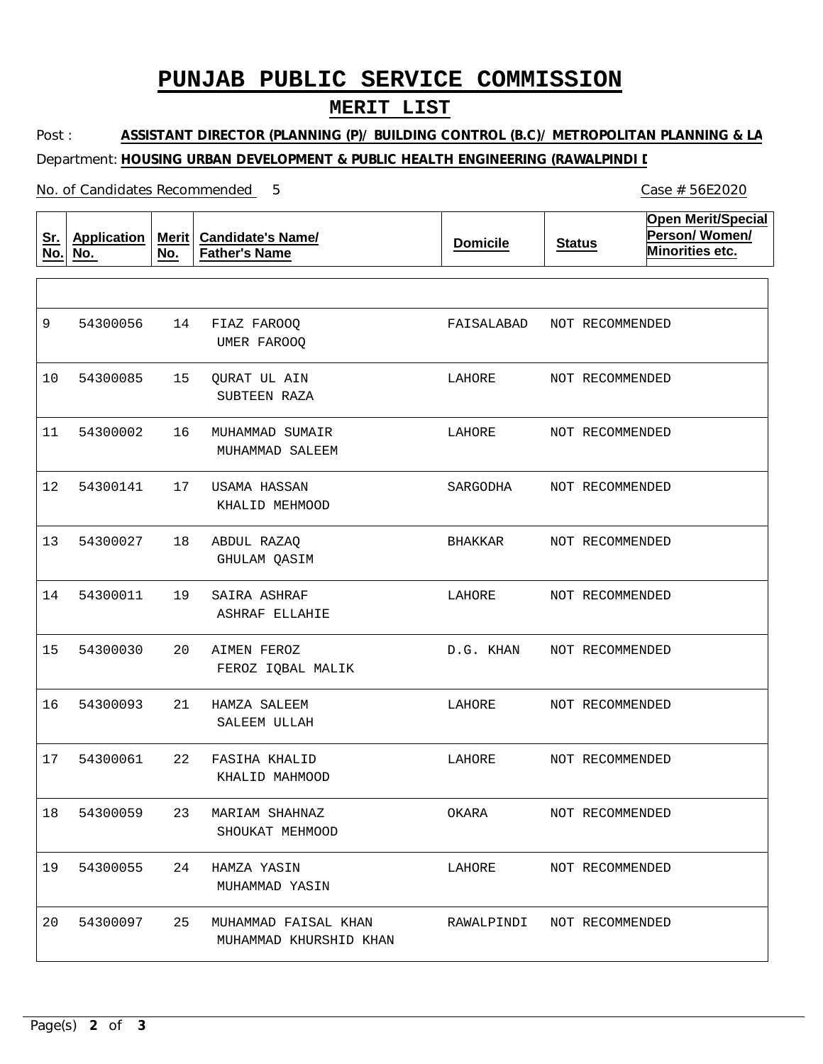# **PUNJAB PUBLIC SERVICE COMMISSION**

### **MERIT LIST**

Post : Department: **HOUSING URBAN DEVELOPMENT & PUBLIC HEALTH ENGINEERING (RAWALPINDI L ASSISTANT DIRECTOR (PLANNING (P)/ BUILDING CONTROL (B.C)/ METROPOLITAN PLANNING & LA**

5 Case # 56E2020

#### No. of Candidates Recommended

**Sr. No. Application No. Merit No. Candidate's Name/ Father's Name Domicile Status Open Merit/Special Person/ Women/ Minorities etc.** 14 15 16 17 18 19  $20$ 21 22 23 MARIAM SHAHNAZ 24 HAMZA YASIN 25 FIAZ FAROOQ QURAT UL AIN MUHAMMAD SUMAIR USAMA HASSAN ABDUL RAZAQ SAIRA ASHRAF AIMEN FEROZ HAMZA SALEEM FASIHA KHALID MUHAMMAD FAISAL KHAN UMER FAROOQ SUBTEEN RAZA MUHAMMAD SALEEM KHALID MEHMOOD GHULAM QASIM ASHRAF ELLAHIE FEROZ IQBAL MALIK SALEEM ULLAH KHALID MAHMOOD SHOUKAT MEHMOOD MUHAMMAD YASIN MUHAMMAD KHURSHID KHAN 9 10 54300085 11 12 13 14 15 16 17 18 19 54300055 20 54300056 54300002 54300141 54300027 54300011 54300030 54300093 54300061 54300059 54300097 FAISALABAD LAHORE LAHORE SARGODHA BHAKKAR LAHORE D.G. KHAN LAHORE LAHORE OKARA LAHORE RAWALPINDI NOT RECOMMENDED NOT RECOMMENDED NOT RECOMMENDED NOT RECOMMENDED NOT RECOMMENDED NOT RECOMMENDED NOT RECOMMENDED NOT RECOMMENDED NOT RECOMMENDED NOT RECOMMENDED NOT RECOMMENDED NOT RECOMMENDED